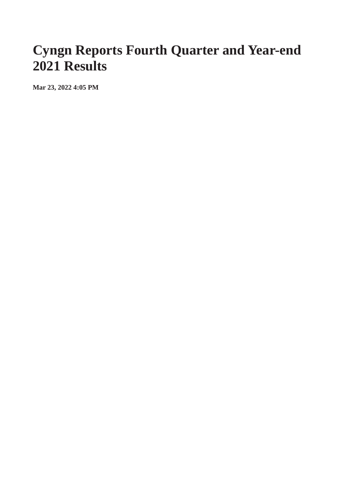## **Cyngn Reports Fourth Quarter and Year-end 2021 Results**

**Mar 23, 2022 4:05 PM**